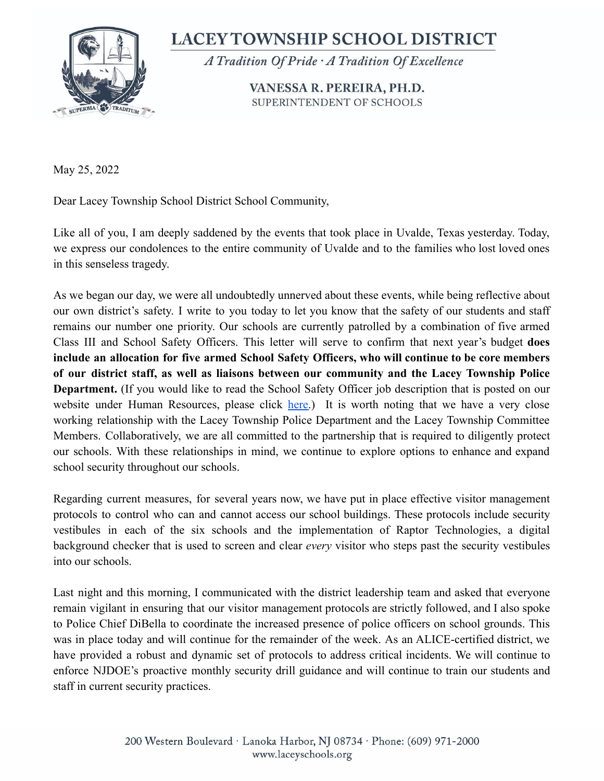

**LACEY TOWNSHIP SCHOOL DISTRICT** 

A Tradition Of Pride A Tradition Of Excellence

VANESSA R. PEREIRA, PH.D. SUPERINTENDENT OF SCHOOLS

May 25, 2022

Dear Lacey Township School District School Community,

Like all of you, I am deeply saddened by the events that took place in Uvalde, Texas yesterday. Today, we express our condolences to the entire community of Uvalde and to the families who lost loved ones in this senseless tragedy.

As we began our day, we were all undoubtedly unnerved about these events, while being reflective about our own district's safety. I write to you today to let you know that the safety of our students and staff remains our number one priority. Our schools are currently patrolled by a combination of five armed Class III and School Safety Officers. This letter will serve to confirm that next year's budget **does include an allocation for five armed School Safety Officers, who will continue to be core members of our district staff, as well as liaisons between our community and the Lacey Township Police Department.** (If you would like to read the School Safety Officer job description that is posted on our website under Human Resources, please click [here.](https://www.laceyschools.org/site/handlers/filedownload.ashx?moduleinstanceid=912&dataid=5734&FileName=School-Safety-Officer.pdf)) It is worth noting that we have a very close working relationship with the Lacey Township Police Department and the Lacey Township Committee Members. Collaboratively, we are all committed to the partnership that is required to diligently protect our schools. With these relationships in mind, we continue to explore options to enhance and expand school security throughout our schools.

Regarding current measures, for several years now, we have put in place effective visitor management protocols to control who can and cannot access our school buildings. These protocols include security vestibules in each of the six schools and the implementation of Raptor Technologies, a digital background checker that is used to screen and clear *every* visitor who steps past the security vestibules into our schools.

Last night and this morning, I communicated with the district leadership team and asked that everyone remain vigilant in ensuring that our visitor management protocols are strictly followed, and I also spoke to Police Chief DiBella to coordinate the increased presence of police officers on school grounds. This was in place today and will continue for the remainder of the week. As an ALICE-certified district, we have provided a robust and dynamic set of protocols to address critical incidents. We will continue to enforce NJDOE's proactive monthly security drill guidance and will continue to train our students and staff in current security practices.